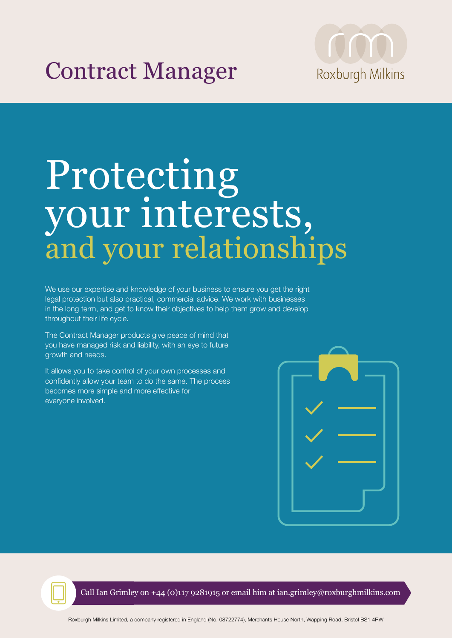## Contract Manager



# Protecting your interests, and your relationships

We use our expertise and knowledge of your business to ensure you get the right legal protection but also practical, commercial advice. We work with businesses in the long term, and get to know their objectives to help them grow and develop throughout their life cycle.

The Contract Manager products give peace of mind that you have managed risk and liability, with an eye to future growth and needs.

It allows you to take control of your own processes and confidently allow your team to do the same. The process becomes more simple and more effective for everyone involved.





Call Ian Grimley on +44 (0)117 9281915 or email him at ian.grimley@roxburghmilkins.com